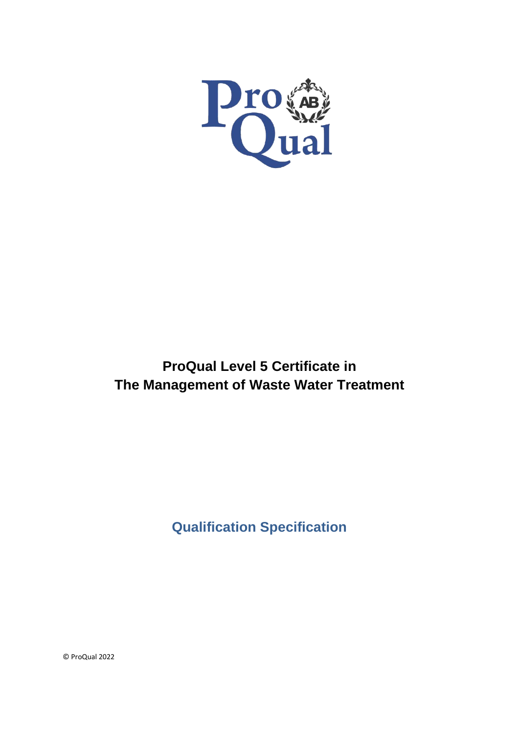

# **ProQual Level 5 Certificate in The Management of Waste Water Treatment**

**Qualification Specification**

© ProQual 2022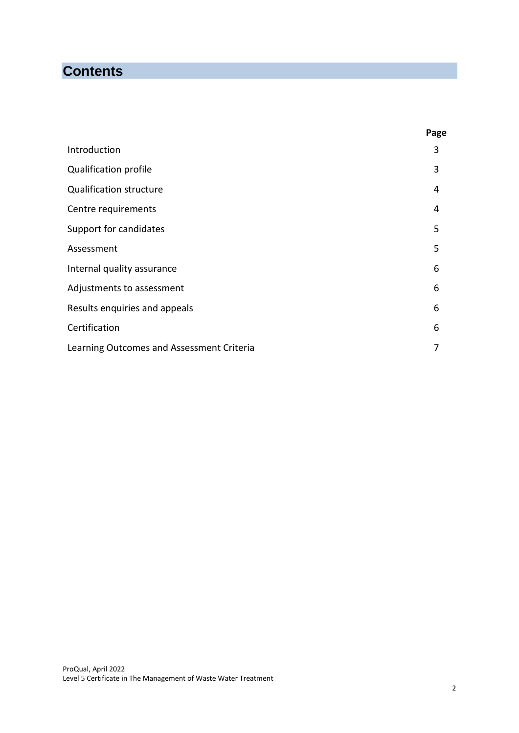## **Contents**

|                                           | Page |
|-------------------------------------------|------|
| Introduction                              | 3    |
| Qualification profile                     | 3    |
| <b>Qualification structure</b>            | 4    |
| Centre requirements                       | 4    |
| Support for candidates                    | 5    |
| Assessment                                | 5    |
| Internal quality assurance                | 6    |
| Adjustments to assessment                 | 6    |
| Results enquiries and appeals             | 6    |
| Certification                             | 6    |
| Learning Outcomes and Assessment Criteria | 7    |
|                                           |      |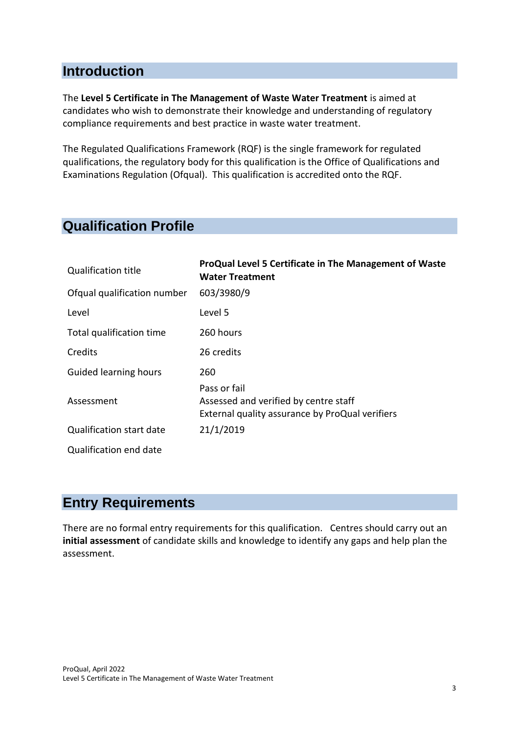#### **Introduction**

The **Level 5 Certificate in The Management of Waste Water Treatment** is aimed at candidates who wish to demonstrate their knowledge and understanding of regulatory compliance requirements and best practice in waste water treatment.

The Regulated Qualifications Framework (RQF) is the single framework for regulated qualifications, the regulatory body for this qualification is the Office of Qualifications and Examinations Regulation (Ofqual). This qualification is accredited onto the RQF.

### **Qualification Profile**

| <b>Qualification title</b>  | ProQual Level 5 Certificate in The Management of Waste<br><b>Water Treatment</b>                         |
|-----------------------------|----------------------------------------------------------------------------------------------------------|
| Ofqual qualification number | 603/3980/9                                                                                               |
| Level                       | Level 5                                                                                                  |
| Total qualification time    | 260 hours                                                                                                |
| Credits                     | 26 credits                                                                                               |
| Guided learning hours       | 260                                                                                                      |
| Assessment                  | Pass or fail<br>Assessed and verified by centre staff<br>External quality assurance by ProQual verifiers |
| Qualification start date    | 21/1/2019                                                                                                |
| Qualification end date      |                                                                                                          |

#### **Entry Requirements**

There are no formal entry requirements for this qualification. Centres should carry out an **initial assessment** of candidate skills and knowledge to identify any gaps and help plan the assessment.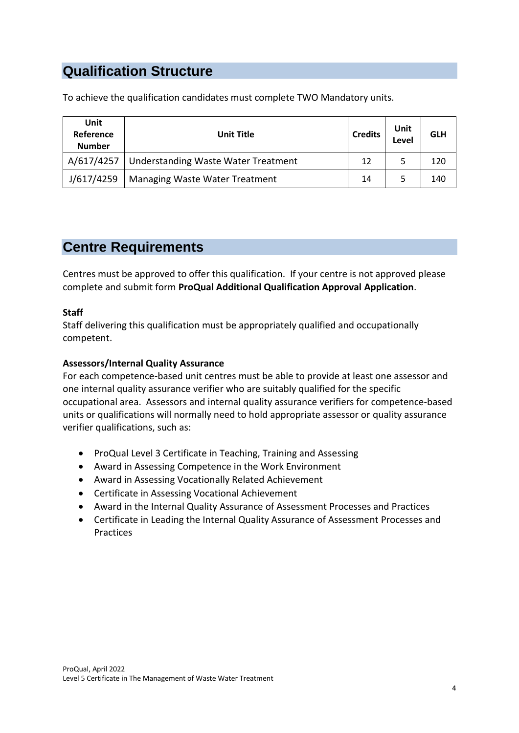### **Qualification Structure**

To achieve the qualification candidates must complete TWO Mandatory units.

| Unit<br>Reference<br><b>Number</b> | <b>Unit Title</b>                          | <b>Credits</b> | Unit<br>Level | <b>GLH</b> |
|------------------------------------|--------------------------------------------|----------------|---------------|------------|
| A/617/4257                         | <b>Understanding Waste Water Treatment</b> | 12             |               | 120        |
| J/617/4259                         | Managing Waste Water Treatment             | 14             |               | 140        |

### **Centre Requirements**

Centres must be approved to offer this qualification. If your centre is not approved please complete and submit form **ProQual Additional Qualification Approval Application**.

#### **Staff**

Staff delivering this qualification must be appropriately qualified and occupationally competent.

#### **Assessors/Internal Quality Assurance**

For each competence-based unit centres must be able to provide at least one assessor and one internal quality assurance verifier who are suitably qualified for the specific occupational area. Assessors and internal quality assurance verifiers for competence-based units or qualifications will normally need to hold appropriate assessor or quality assurance verifier qualifications, such as:

- ProQual Level 3 Certificate in Teaching, Training and Assessing
- Award in Assessing Competence in the Work Environment
- Award in Assessing Vocationally Related Achievement
- Certificate in Assessing Vocational Achievement
- Award in the Internal Quality Assurance of Assessment Processes and Practices
- Certificate in Leading the Internal Quality Assurance of Assessment Processes and Practices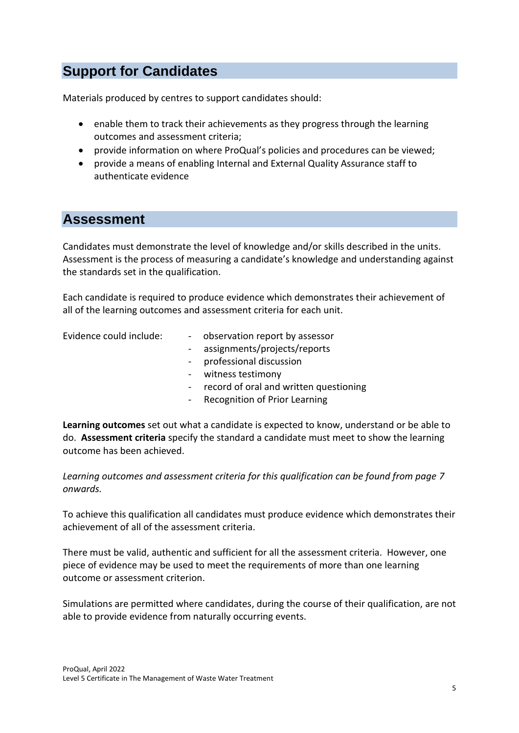### **Support for Candidates**

Materials produced by centres to support candidates should:

- enable them to track their achievements as they progress through the learning outcomes and assessment criteria;
- provide information on where ProQual's policies and procedures can be viewed;
- provide a means of enabling Internal and External Quality Assurance staff to authenticate evidence

#### **Assessment**

Candidates must demonstrate the level of knowledge and/or skills described in the units. Assessment is the process of measuring a candidate's knowledge and understanding against the standards set in the qualification.

Each candidate is required to produce evidence which demonstrates their achievement of all of the learning outcomes and assessment criteria for each unit.

- Evidence could include: - observation report by assessor
	- assignments/projects/reports
	- professional discussion
	- witness testimony
	- record of oral and written questioning
	- Recognition of Prior Learning

**Learning outcomes** set out what a candidate is expected to know, understand or be able to do. **Assessment criteria** specify the standard a candidate must meet to show the learning outcome has been achieved.

*Learning outcomes and assessment criteria for this qualification can be found from page 7 onwards.*

To achieve this qualification all candidates must produce evidence which demonstrates their achievement of all of the assessment criteria.

There must be valid, authentic and sufficient for all the assessment criteria. However, one piece of evidence may be used to meet the requirements of more than one learning outcome or assessment criterion.

Simulations are permitted where candidates, during the course of their qualification, are not able to provide evidence from naturally occurring events.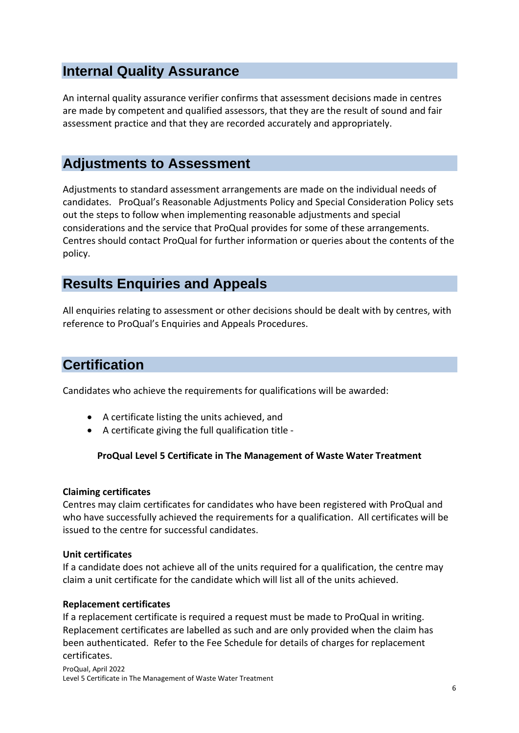### **Internal Quality Assurance**

An internal quality assurance verifier confirms that assessment decisions made in centres are made by competent and qualified assessors, that they are the result of sound and fair assessment practice and that they are recorded accurately and appropriately.

#### **Adjustments to Assessment**

Adjustments to standard assessment arrangements are made on the individual needs of candidates. ProQual's Reasonable Adjustments Policy and Special Consideration Policy sets out the steps to follow when implementing reasonable adjustments and special considerations and the service that ProQual provides for some of these arrangements. Centres should contact ProQual for further information or queries about the contents of the policy.

#### **Results Enquiries and Appeals**

All enquiries relating to assessment or other decisions should be dealt with by centres, with reference to ProQual's Enquiries and Appeals Procedures.

#### **Certification**

Candidates who achieve the requirements for qualifications will be awarded:

- A certificate listing the units achieved, and
- A certificate giving the full qualification title -

#### **ProQual Level 5 Certificate in The Management of Waste Water Treatment**

#### **Claiming certificates**

Centres may claim certificates for candidates who have been registered with ProQual and who have successfully achieved the requirements for a qualification. All certificates will be issued to the centre for successful candidates.

#### **Unit certificates**

If a candidate does not achieve all of the units required for a qualification, the centre may claim a unit certificate for the candidate which will list all of the units achieved.

#### **Replacement certificates**

If a replacement certificate is required a request must be made to ProQual in writing. Replacement certificates are labelled as such and are only provided when the claim has been authenticated. Refer to the Fee Schedule for details of charges for replacement certificates.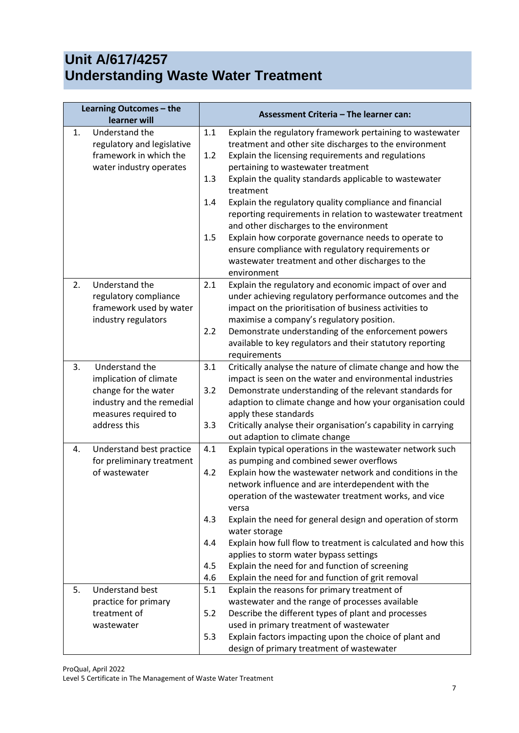# **Unit A/617/4257 Understanding Waste Water Treatment**

|    | Learning Outcomes - the                            | Assessment Criteria - The learner can: |                                                                                                                                                                                                                                                          |
|----|----------------------------------------------------|----------------------------------------|----------------------------------------------------------------------------------------------------------------------------------------------------------------------------------------------------------------------------------------------------------|
|    | learner will                                       |                                        |                                                                                                                                                                                                                                                          |
| 1. | Understand the<br>regulatory and legislative       | 1.1                                    | Explain the regulatory framework pertaining to wastewater<br>treatment and other site discharges to the environment                                                                                                                                      |
|    | framework in which the                             | 1.2                                    | Explain the licensing requirements and regulations                                                                                                                                                                                                       |
|    | water industry operates                            |                                        | pertaining to wastewater treatment                                                                                                                                                                                                                       |
|    |                                                    | 1.3                                    | Explain the quality standards applicable to wastewater                                                                                                                                                                                                   |
|    |                                                    |                                        | treatment                                                                                                                                                                                                                                                |
|    |                                                    | 1.4                                    | Explain the regulatory quality compliance and financial                                                                                                                                                                                                  |
|    |                                                    |                                        | reporting requirements in relation to wastewater treatment                                                                                                                                                                                               |
|    |                                                    |                                        | and other discharges to the environment                                                                                                                                                                                                                  |
|    |                                                    | 1.5                                    | Explain how corporate governance needs to operate to                                                                                                                                                                                                     |
|    |                                                    |                                        | ensure compliance with regulatory requirements or                                                                                                                                                                                                        |
|    |                                                    |                                        | wastewater treatment and other discharges to the                                                                                                                                                                                                         |
|    |                                                    |                                        | environment                                                                                                                                                                                                                                              |
| 2. | Understand the                                     | 2.1                                    | Explain the regulatory and economic impact of over and                                                                                                                                                                                                   |
|    | regulatory compliance<br>framework used by water   |                                        | under achieving regulatory performance outcomes and the<br>impact on the prioritisation of business activities to                                                                                                                                        |
|    | industry regulators                                |                                        | maximise a company's regulatory position.                                                                                                                                                                                                                |
|    |                                                    | 2.2                                    | Demonstrate understanding of the enforcement powers                                                                                                                                                                                                      |
|    |                                                    |                                        | available to key regulators and their statutory reporting                                                                                                                                                                                                |
|    |                                                    |                                        | requirements                                                                                                                                                                                                                                             |
| 3. | Understand the                                     | 3.1                                    | Critically analyse the nature of climate change and how the                                                                                                                                                                                              |
|    | implication of climate                             |                                        | impact is seen on the water and environmental industries                                                                                                                                                                                                 |
|    | change for the water                               | 3.2                                    | Demonstrate understanding of the relevant standards for                                                                                                                                                                                                  |
|    | industry and the remedial                          |                                        | adaption to climate change and how your organisation could                                                                                                                                                                                               |
|    | measures required to                               |                                        | apply these standards                                                                                                                                                                                                                                    |
|    | address this                                       | 3.3                                    | Critically analyse their organisation's capability in carrying                                                                                                                                                                                           |
|    |                                                    |                                        | out adaption to climate change                                                                                                                                                                                                                           |
| 4. | Understand best practice                           | 4.1                                    | Explain typical operations in the wastewater network such                                                                                                                                                                                                |
|    | for preliminary treatment<br>of wastewater         | 4.2                                    | as pumping and combined sewer overflows<br>Explain how the wastewater network and conditions in the                                                                                                                                                      |
|    |                                                    |                                        | network influence and are interdependent with the                                                                                                                                                                                                        |
|    |                                                    |                                        | operation of the wastewater treatment works, and vice                                                                                                                                                                                                    |
|    |                                                    |                                        | versa                                                                                                                                                                                                                                                    |
|    |                                                    | 4.3                                    | Explain the need for general design and operation of storm                                                                                                                                                                                               |
|    |                                                    |                                        | water storage                                                                                                                                                                                                                                            |
|    |                                                    | 4.4                                    | Explain how full flow to treatment is calculated and how this                                                                                                                                                                                            |
|    |                                                    |                                        | applies to storm water bypass settings                                                                                                                                                                                                                   |
|    |                                                    | 4.5                                    | Explain the need for and function of screening                                                                                                                                                                                                           |
|    |                                                    | 4.6                                    | Explain the need for and function of grit removal                                                                                                                                                                                                        |
| 5. | <b>Understand best</b>                             | 5.1                                    | Explain the reasons for primary treatment of                                                                                                                                                                                                             |
|    |                                                    |                                        |                                                                                                                                                                                                                                                          |
|    |                                                    |                                        |                                                                                                                                                                                                                                                          |
|    |                                                    |                                        |                                                                                                                                                                                                                                                          |
|    |                                                    |                                        |                                                                                                                                                                                                                                                          |
|    | practice for primary<br>treatment of<br>wastewater | 5.2<br>5.3                             | wastewater and the range of processes available<br>Describe the different types of plant and processes<br>used in primary treatment of wastewater<br>Explain factors impacting upon the choice of plant and<br>design of primary treatment of wastewater |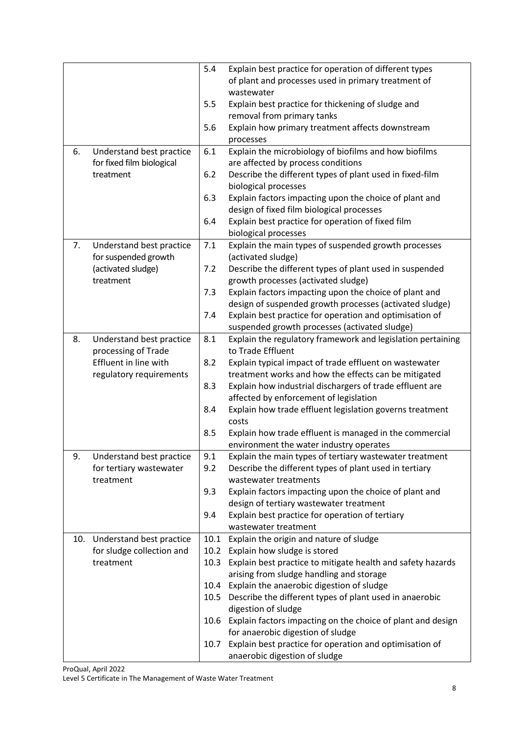|    |                              | 5.4  | Explain best practice for operation of different types           |
|----|------------------------------|------|------------------------------------------------------------------|
|    |                              |      | of plant and processes used in primary treatment of              |
|    |                              |      | wastewater                                                       |
|    |                              | 5.5  | Explain best practice for thickening of sludge and               |
|    |                              |      | removal from primary tanks                                       |
|    |                              | 5.6  | Explain how primary treatment affects downstream                 |
|    |                              |      | processes                                                        |
| 6. | Understand best practice     | 6.1  | Explain the microbiology of biofilms and how biofilms            |
|    | for fixed film biological    |      | are affected by process conditions                               |
|    | treatment                    | 6.2  | Describe the different types of plant used in fixed-film         |
|    |                              |      | biological processes                                             |
|    |                              | 6.3  | Explain factors impacting upon the choice of plant and           |
|    |                              |      | design of fixed film biological processes                        |
|    |                              | 6.4  | Explain best practice for operation of fixed film                |
|    |                              |      | biological processes                                             |
| 7. | Understand best practice     | 7.1  | Explain the main types of suspended growth processes             |
|    | for suspended growth         |      | (activated sludge)                                               |
|    | (activated sludge)           | 7.2  | Describe the different types of plant used in suspended          |
|    | treatment                    |      | growth processes (activated sludge)                              |
|    |                              | 7.3  | Explain factors impacting upon the choice of plant and           |
|    |                              |      | design of suspended growth processes (activated sludge)          |
|    |                              | 7.4  | Explain best practice for operation and optimisation of          |
|    |                              |      | suspended growth processes (activated sludge)                    |
| 8. | Understand best practice     | 8.1  | Explain the regulatory framework and legislation pertaining      |
|    | processing of Trade          |      | to Trade Effluent                                                |
|    | Effluent in line with        | 8.2  | Explain typical impact of trade effluent on wastewater           |
|    | regulatory requirements      |      | treatment works and how the effects can be mitigated             |
|    |                              | 8.3  | Explain how industrial dischargers of trade effluent are         |
|    |                              |      | affected by enforcement of legislation                           |
|    |                              | 8.4  | Explain how trade effluent legislation governs treatment         |
|    |                              |      | costs                                                            |
|    |                              | 8.5  | Explain how trade effluent is managed in the commercial          |
|    |                              |      | environment the water industry operates                          |
| 9. | Understand best practice     | 9.1  | Explain the main types of tertiary wastewater treatment          |
|    | for tertiary wastewater      | 9.2  | Describe the different types of plant used in tertiary           |
|    | treatment                    |      | wastewater treatments                                            |
|    |                              | 9.3  | Explain factors impacting upon the choice of plant and           |
|    |                              |      | design of tertiary wastewater treatment                          |
|    |                              | 9.4  | Explain best practice for operation of tertiary                  |
|    |                              |      | wastewater treatment                                             |
|    | 10. Understand best practice | 10.1 | Explain the origin and nature of sludge                          |
|    | for sludge collection and    | 10.2 | Explain how sludge is stored                                     |
|    | treatment                    | 10.3 | Explain best practice to mitigate health and safety hazards      |
|    |                              |      | arising from sludge handling and storage                         |
|    |                              | 10.4 | Explain the anaerobic digestion of sludge                        |
|    |                              | 10.5 | Describe the different types of plant used in anaerobic          |
|    |                              |      | digestion of sludge                                              |
|    |                              |      | 10.6 Explain factors impacting on the choice of plant and design |
|    |                              |      | for anaerobic digestion of sludge                                |
|    |                              | 10.7 | Explain best practice for operation and optimisation of          |
|    |                              |      | anaerobic digestion of sludge                                    |

ProQual, April 2022 Level 5 Certificate in The Management of Waste Water Treatment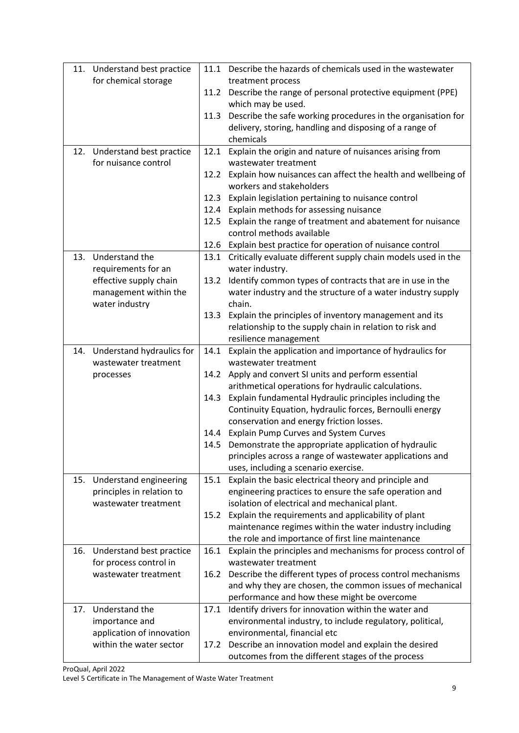|     | 11. Understand best practice                         |      | 11.1 Describe the hazards of chemicals used in the wastewater                                                     |
|-----|------------------------------------------------------|------|-------------------------------------------------------------------------------------------------------------------|
|     | for chemical storage                                 |      | treatment process                                                                                                 |
|     |                                                      |      | 11.2 Describe the range of personal protective equipment (PPE)<br>which may be used.                              |
|     |                                                      |      | 11.3 Describe the safe working procedures in the organisation for                                                 |
|     |                                                      |      | delivery, storing, handling and disposing of a range of                                                           |
|     |                                                      |      | chemicals                                                                                                         |
|     | 12. Understand best practice<br>for nuisance control | 12.1 | Explain the origin and nature of nuisances arising from<br>wastewater treatment                                   |
|     |                                                      |      | 12.2 Explain how nuisances can affect the health and wellbeing of                                                 |
|     |                                                      |      | workers and stakeholders                                                                                          |
|     |                                                      | 12.3 | Explain legislation pertaining to nuisance control                                                                |
|     |                                                      |      | 12.4 Explain methods for assessing nuisance                                                                       |
|     |                                                      |      | 12.5 Explain the range of treatment and abatement for nuisance<br>control methods available                       |
|     |                                                      |      | 12.6 Explain best practice for operation of nuisance control                                                      |
|     | 13. Understand the                                   | 13.1 | Critically evaluate different supply chain models used in the                                                     |
|     | requirements for an                                  |      | water industry.                                                                                                   |
|     | effective supply chain                               | 13.2 | Identify common types of contracts that are in use in the                                                         |
|     | management within the                                |      | water industry and the structure of a water industry supply                                                       |
|     | water industry                                       |      | chain.                                                                                                            |
|     |                                                      | 13.3 | Explain the principles of inventory management and its                                                            |
|     |                                                      |      | relationship to the supply chain in relation to risk and                                                          |
|     |                                                      |      | resilience management                                                                                             |
|     | 14. Understand hydraulics for                        | 14.1 | Explain the application and importance of hydraulics for                                                          |
|     | wastewater treatment                                 |      | wastewater treatment                                                                                              |
|     | processes                                            |      | 14.2 Apply and convert SI units and perform essential                                                             |
|     |                                                      |      | arithmetical operations for hydraulic calculations.                                                               |
|     |                                                      | 14.3 | Explain fundamental Hydraulic principles including the<br>Continuity Equation, hydraulic forces, Bernoulli energy |
|     |                                                      |      | conservation and energy friction losses.                                                                          |
|     |                                                      |      | 14.4 Explain Pump Curves and System Curves                                                                        |
|     |                                                      |      | 14.5 Demonstrate the appropriate application of hydraulic                                                         |
|     |                                                      |      | principles across a range of wastewater applications and                                                          |
|     |                                                      |      | uses, including a scenario exercise.                                                                              |
|     | 15. Understand engineering                           | 15.1 | Explain the basic electrical theory and principle and                                                             |
|     | principles in relation to                            |      | engineering practices to ensure the safe operation and                                                            |
|     | wastewater treatment                                 |      | isolation of electrical and mechanical plant.                                                                     |
|     |                                                      | 15.2 | Explain the requirements and applicability of plant                                                               |
|     |                                                      |      | maintenance regimes within the water industry including                                                           |
|     |                                                      |      | the role and importance of first line maintenance                                                                 |
|     | 16. Understand best practice                         |      | 16.1 Explain the principles and mechanisms for process control of<br>wastewater treatment                         |
|     | for process control in<br>wastewater treatment       | 16.2 | Describe the different types of process control mechanisms                                                        |
|     |                                                      |      | and why they are chosen, the common issues of mechanical                                                          |
|     |                                                      |      | performance and how these might be overcome                                                                       |
| 17. | Understand the                                       | 17.1 | Identify drivers for innovation within the water and                                                              |
|     | importance and                                       |      | environmental industry, to include regulatory, political,                                                         |
|     | application of innovation                            |      | environmental, financial etc                                                                                      |
|     | within the water sector                              | 17.2 | Describe an innovation model and explain the desired                                                              |
|     |                                                      |      | outcomes from the different stages of the process                                                                 |

ProQual, April 2022 Level 5 Certificate in The Management of Waste Water Treatment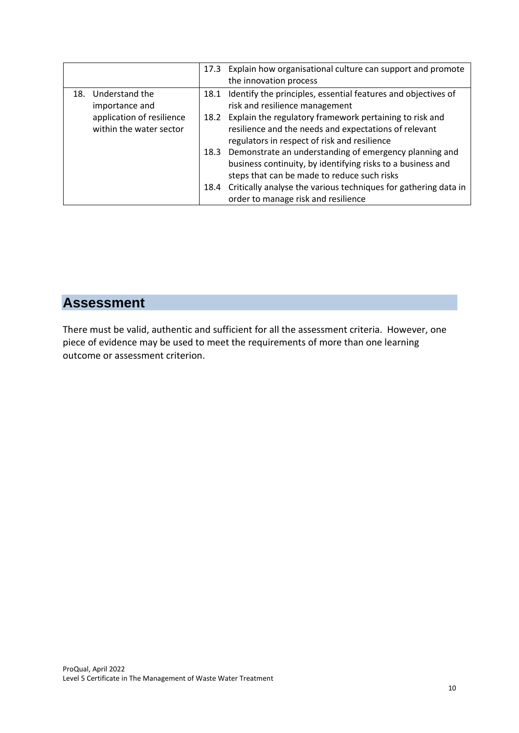|                                                      | 17.3 Explain how organisational culture can support and promote<br>the innovation process                                                                                 |
|------------------------------------------------------|---------------------------------------------------------------------------------------------------------------------------------------------------------------------------|
| 18. Understand the<br>importance and                 | Identify the principles, essential features and objectives of<br>18.1<br>risk and resilience management                                                                   |
| application of resilience<br>within the water sector | Explain the regulatory framework pertaining to risk and<br>18.2<br>resilience and the needs and expectations of relevant<br>regulators in respect of risk and resilience  |
|                                                      | 18.3 Demonstrate an understanding of emergency planning and<br>business continuity, by identifying risks to a business and<br>steps that can be made to reduce such risks |
|                                                      | 18.4 Critically analyse the various techniques for gathering data in<br>order to manage risk and resilience                                                               |

### **Assessment**

There must be valid, authentic and sufficient for all the assessment criteria. However, one piece of evidence may be used to meet the requirements of more than one learning outcome or assessment criterion.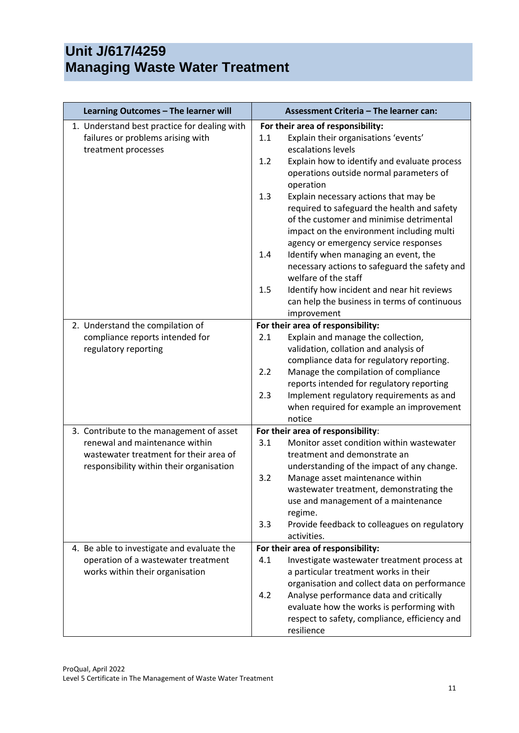## **Unit J/617/4259 Managing Waste Water Treatment**

| Learning Outcomes - The learner will                                              | Assessment Criteria - The learner can:                                                                                                                                                                                                     |
|-----------------------------------------------------------------------------------|--------------------------------------------------------------------------------------------------------------------------------------------------------------------------------------------------------------------------------------------|
| 1. Understand best practice for dealing with<br>failures or problems arising with | For their area of responsibility:<br>Explain their organisations 'events'<br>1.1                                                                                                                                                           |
| treatment processes                                                               | escalations levels<br>1.2<br>Explain how to identify and evaluate process<br>operations outside normal parameters of                                                                                                                       |
|                                                                                   | operation<br>1.3<br>Explain necessary actions that may be<br>required to safeguard the health and safety<br>of the customer and minimise detrimental<br>impact on the environment including multi<br>agency or emergency service responses |
|                                                                                   | Identify when managing an event, the<br>1.4<br>necessary actions to safeguard the safety and<br>welfare of the staff                                                                                                                       |
|                                                                                   | Identify how incident and near hit reviews<br>1.5<br>can help the business in terms of continuous<br>improvement                                                                                                                           |
| 2. Understand the compilation of                                                  | For their area of responsibility:                                                                                                                                                                                                          |
| compliance reports intended for<br>regulatory reporting                           | Explain and manage the collection,<br>2.1<br>validation, collation and analysis of<br>compliance data for regulatory reporting.                                                                                                            |
|                                                                                   | Manage the compilation of compliance<br>2.2<br>reports intended for regulatory reporting                                                                                                                                                   |
|                                                                                   | 2.3<br>Implement regulatory requirements as and<br>when required for example an improvement<br>notice                                                                                                                                      |
| 3. Contribute to the management of asset                                          | For their area of responsibility:                                                                                                                                                                                                          |
| renewal and maintenance within<br>wastewater treatment for their area of          | Monitor asset condition within wastewater<br>3.1<br>treatment and demonstrate an                                                                                                                                                           |
| responsibility within their organisation                                          | understanding of the impact of any change.<br>Manage asset maintenance within<br>3.2<br>wastewater treatment, demonstrating the<br>use and management of a maintenance<br>regime.                                                          |
|                                                                                   | Provide feedback to colleagues on regulatory<br>3.3<br>activities.                                                                                                                                                                         |
| 4. Be able to investigate and evaluate the                                        | For their area of responsibility:                                                                                                                                                                                                          |
| operation of a wastewater treatment                                               | 4.1<br>Investigate wastewater treatment process at                                                                                                                                                                                         |
| works within their organisation                                                   | a particular treatment works in their                                                                                                                                                                                                      |
|                                                                                   | organisation and collect data on performance                                                                                                                                                                                               |
|                                                                                   | Analyse performance data and critically<br>4.2                                                                                                                                                                                             |
|                                                                                   | evaluate how the works is performing with                                                                                                                                                                                                  |
|                                                                                   | respect to safety, compliance, efficiency and<br>resilience                                                                                                                                                                                |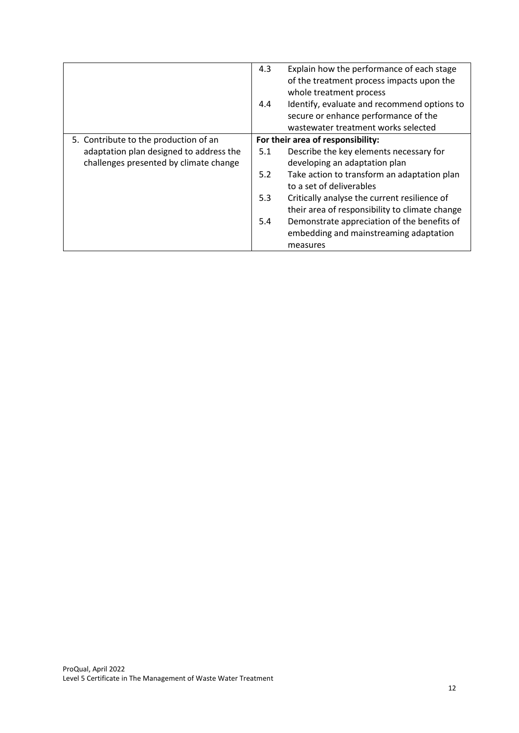|                                         | 4.3 | Explain how the performance of each stage      |
|-----------------------------------------|-----|------------------------------------------------|
|                                         |     | of the treatment process impacts upon the      |
|                                         |     | whole treatment process                        |
|                                         | 4.4 | Identify, evaluate and recommend options to    |
|                                         |     | secure or enhance performance of the           |
|                                         |     | wastewater treatment works selected            |
| 5. Contribute to the production of an   |     | For their area of responsibility:              |
| adaptation plan designed to address the | 5.1 | Describe the key elements necessary for        |
| challenges presented by climate change  |     | developing an adaptation plan                  |
|                                         | 5.2 | Take action to transform an adaptation plan    |
|                                         |     | to a set of deliverables                       |
|                                         | 5.3 | Critically analyse the current resilience of   |
|                                         |     | their area of responsibility to climate change |
|                                         | 5.4 | Demonstrate appreciation of the benefits of    |
|                                         |     | embedding and mainstreaming adaptation         |
|                                         |     | measures                                       |